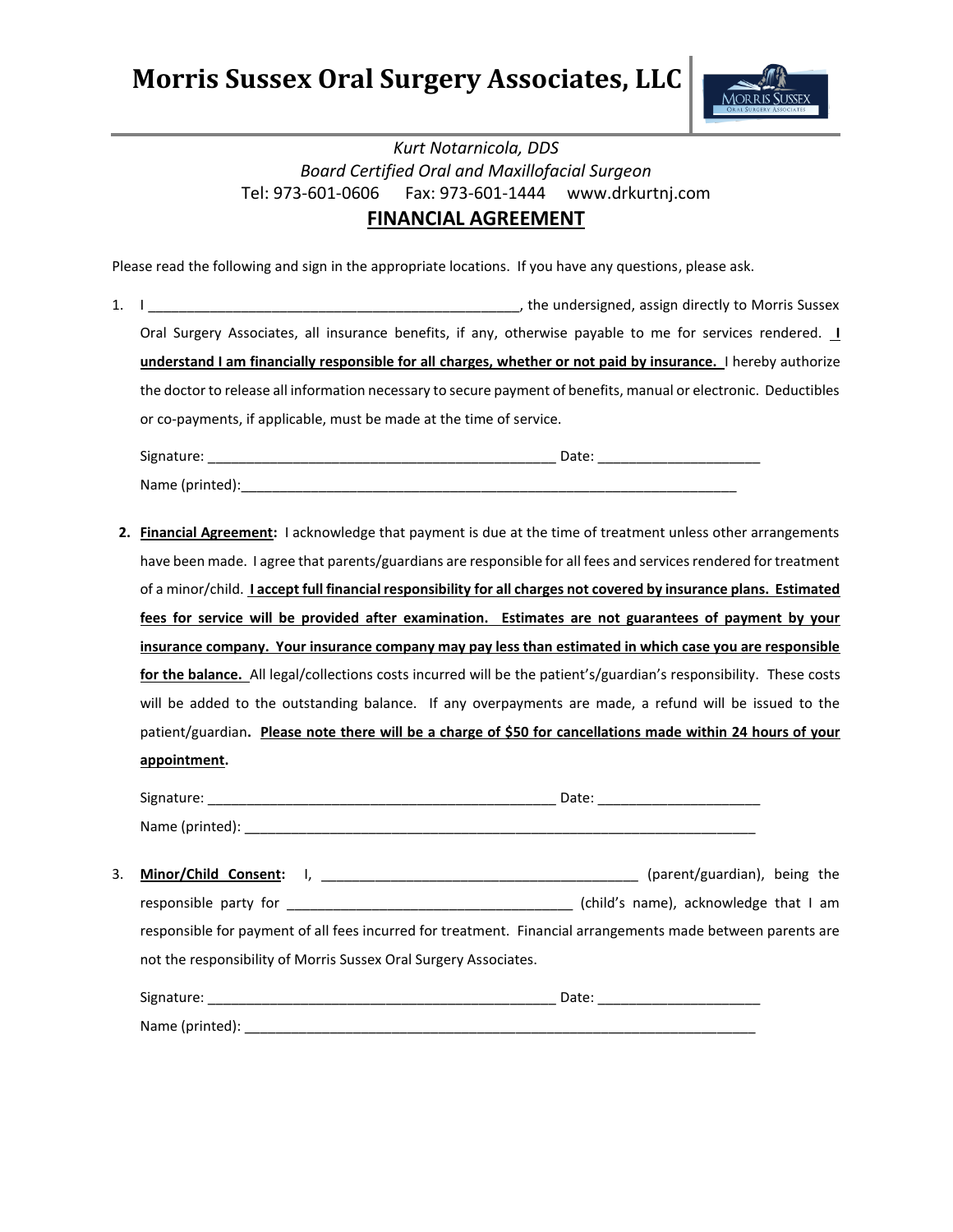**Morris Sussex Oral Surgery Associates, LLC**



## *Kurt Notarnicola, DDS Board Certified Oral and Maxillofacial Surgeon* Tel: 973-601-0606 Fax: 973-601-1444 www.drkurtnj.com **FINANCIAL AGREEMENT**

Please read the following and sign in the appropriate locations. If you have any questions, please ask.

1. I constructed a control of the undersigned, assign directly to Morris Sussex Oral Surgery Associates, all insurance benefits, if any, otherwise payable to me for services rendered. **I understand I am financially responsible for all charges, whether or not paid by insurance.** I hereby authorize the doctor to release all information necessary to secure payment of benefits, manual or electronic. Deductibles or co-payments, if applicable, must be made at the time of service.

| Signature:      | Date <sup>.</sup> |
|-----------------|-------------------|
| Name (printed): |                   |

**2. Financial Agreement:** I acknowledge that payment is due at the time of treatment unless other arrangements have been made. I agree that parents/guardians are responsible for all fees and services rendered for treatment of a minor/child. **I accept full financial responsibility for all charges not covered by insurance plans. Estimated fees for service will be provided after examination. Estimates are not guarantees of payment by your insurance company. Your insurance company may pay less than estimated in which case you are responsible for the balance.** All legal/collections costs incurred will be the patient's/guardian's responsibility. These costs will be added to the outstanding balance. If any overpayments are made, a refund will be issued to the patient/guardian**. Please note there will be a charge of \$50 for cancellations made within 24 hours of your appointment.**

| Signature:      | Date: |
|-----------------|-------|
| Name (printed): |       |

| Minor/Child Consent:                                                                                        | (parent/guardian), being the          |
|-------------------------------------------------------------------------------------------------------------|---------------------------------------|
| responsible party for                                                                                       | (child's name), acknowledge that I am |
| responsible for payment of all fees incurred for treatment. Financial arrangements made between parents are |                                       |
| not the responsibility of Morris Sussex Oral Surgery Associates.                                            |                                       |

| Signature:      | Date: |
|-----------------|-------|
| Name (printed): |       |